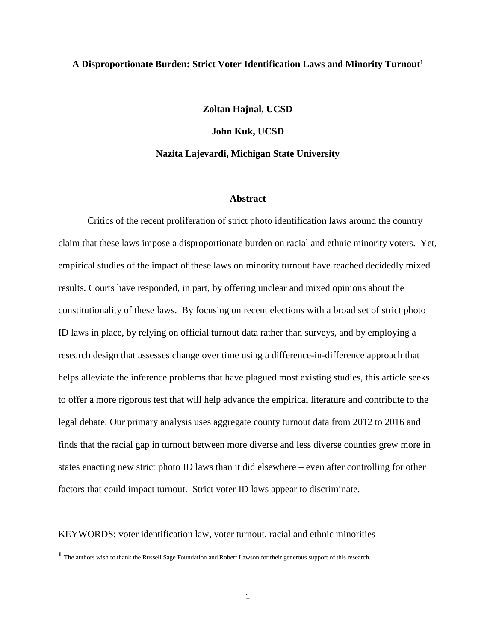# **A Disproportionate Burden: Strict Voter Identification Laws and Minority Turnout1**

**Zoltan Hajnal, UCSD**

**John Kuk, UCSD**

# **Nazita Lajevardi, Michigan State University**

#### **Abstract**

Critics of the recent proliferation of strict photo identification laws around the country claim that these laws impose a disproportionate burden on racial and ethnic minority voters. Yet, empirical studies of the impact of these laws on minority turnout have reached decidedly mixed results. Courts have responded, in part, by offering unclear and mixed opinions about the constitutionality of these laws. By focusing on recent elections with a broad set of strict photo ID laws in place, by relying on official turnout data rather than surveys, and by employing a research design that assesses change over time using a difference-in-difference approach that helps alleviate the inference problems that have plagued most existing studies, this article seeks to offer a more rigorous test that will help advance the empirical literature and contribute to the legal debate. Our primary analysis uses aggregate county turnout data from 2012 to 2016 and finds that the racial gap in turnout between more diverse and less diverse counties grew more in states enacting new strict photo ID laws than it did elsewhere – even after controlling for other factors that could impact turnout. Strict voter ID laws appear to discriminate.

KEYWORDS: voter identification law, voter turnout, racial and ethnic minorities

**<sup>1</sup>** The authors wish to thank the Russell Sage Foundation and Robert Lawson for their generous support of this research.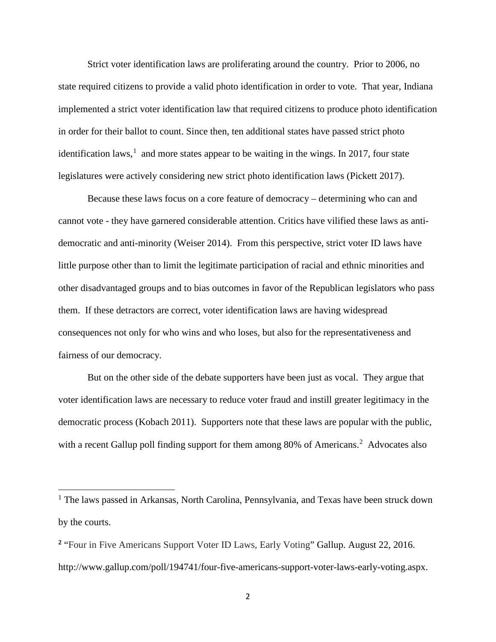Strict voter identification laws are proliferating around the country. Prior to 2006, no state required citizens to provide a valid photo identification in order to vote. That year, Indiana implemented a strict voter identification law that required citizens to produce photo identification in order for their ballot to count. Since then, ten additional states have passed strict photo identification laws,<sup>[1](#page-1-0)</sup> and more states appear to be waiting in the wings. In 2017, four state legislatures were actively considering new strict photo identification laws (Pickett 2017).

Because these laws focus on a core feature of democracy – determining who can and cannot vote - they have garnered considerable attention. Critics have vilified these laws as antidemocratic and anti-minority (Weiser 2014). From this perspective, strict voter ID laws have little purpose other than to limit the legitimate participation of racial and ethnic minorities and other disadvantaged groups and to bias outcomes in favor of the Republican legislators who pass them. If these detractors are correct, voter identification laws are having widespread consequences not only for who wins and who loses, but also for the representativeness and fairness of our democracy.

But on the other side of the debate supporters have been just as vocal. They argue that voter identification laws are necessary to reduce voter fraud and instill greater legitimacy in the democratic process (Kobach 2011). Supporters note that these laws are popular with the public, with a recent Gallup poll finding support for them among 80% of Americans.<sup>[2](#page-1-1)</sup> Advocates also

 $\overline{\phantom{a}}$ 

<span id="page-1-0"></span><sup>&</sup>lt;sup>1</sup> The laws passed in Arkansas, North Carolina, Pennsylvania, and Texas have been struck down by the courts.

<span id="page-1-1"></span>**<sup>2</sup>** "Four in Five Americans Support Voter ID Laws, Early Voting" Gallup. August 22, 2016. http://www.gallup.com/poll/194741/four-five-americans-support-voter-laws-early-voting.aspx.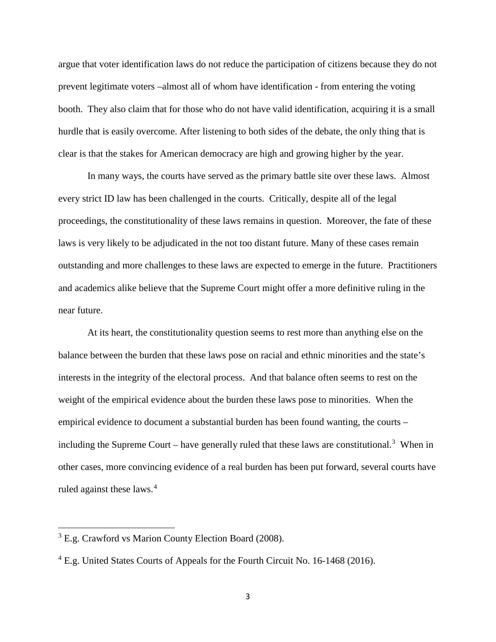argue that voter identification laws do not reduce the participation of citizens because they do not prevent legitimate voters –almost all of whom have identification - from entering the voting booth. They also claim that for those who do not have valid identification, acquiring it is a small hurdle that is easily overcome. After listening to both sides of the debate, the only thing that is clear is that the stakes for American democracy are high and growing higher by the year.

In many ways, the courts have served as the primary battle site over these laws. Almost every strict ID law has been challenged in the courts. Critically, despite all of the legal proceedings, the constitutionality of these laws remains in question. Moreover, the fate of these laws is very likely to be adjudicated in the not too distant future. Many of these cases remain outstanding and more challenges to these laws are expected to emerge in the future. Practitioners and academics alike believe that the Supreme Court might offer a more definitive ruling in the near future.

At its heart, the constitutionality question seems to rest more than anything else on the balance between the burden that these laws pose on racial and ethnic minorities and the state's interests in the integrity of the electoral process. And that balance often seems to rest on the weight of the empirical evidence about the burden these laws pose to minorities. When the empirical evidence to document a substantial burden has been found wanting, the courts – including the Supreme Court – have generally ruled that these laws are constitutional.<sup>[3](#page-2-0)</sup> When in other cases, more convincing evidence of a real burden has been put forward, several courts have ruled against these laws.<sup>[4](#page-2-1)</sup>

l

<span id="page-2-0"></span><sup>&</sup>lt;sup>3</sup> E.g. Crawford vs Marion County Election Board (2008).

<span id="page-2-1"></span><sup>&</sup>lt;sup>4</sup> E.g. United States Courts of Appeals for the Fourth Circuit No. 16-1468 (2016).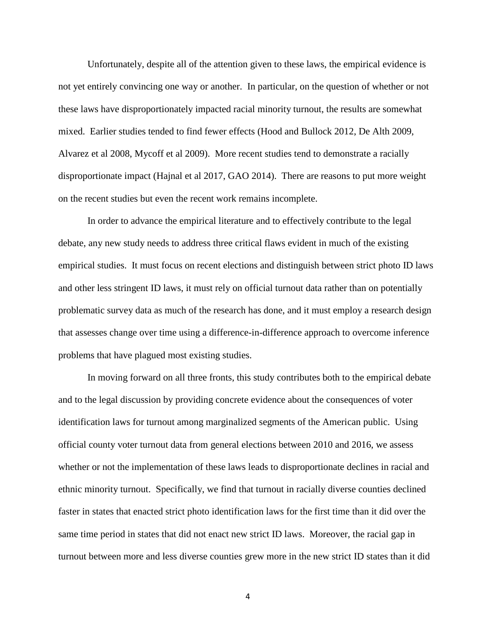Unfortunately, despite all of the attention given to these laws, the empirical evidence is not yet entirely convincing one way or another. In particular, on the question of whether or not these laws have disproportionately impacted racial minority turnout, the results are somewhat mixed. Earlier studies tended to find fewer effects (Hood and Bullock 2012, De Alth 2009, Alvarez et al 2008, Mycoff et al 2009). More recent studies tend to demonstrate a racially disproportionate impact (Hajnal et al 2017, GAO 2014). There are reasons to put more weight on the recent studies but even the recent work remains incomplete.

In order to advance the empirical literature and to effectively contribute to the legal debate, any new study needs to address three critical flaws evident in much of the existing empirical studies. It must focus on recent elections and distinguish between strict photo ID laws and other less stringent ID laws, it must rely on official turnout data rather than on potentially problematic survey data as much of the research has done, and it must employ a research design that assesses change over time using a difference-in-difference approach to overcome inference problems that have plagued most existing studies.

In moving forward on all three fronts, this study contributes both to the empirical debate and to the legal discussion by providing concrete evidence about the consequences of voter identification laws for turnout among marginalized segments of the American public. Using official county voter turnout data from general elections between 2010 and 2016, we assess whether or not the implementation of these laws leads to disproportionate declines in racial and ethnic minority turnout. Specifically, we find that turnout in racially diverse counties declined faster in states that enacted strict photo identification laws for the first time than it did over the same time period in states that did not enact new strict ID laws. Moreover, the racial gap in turnout between more and less diverse counties grew more in the new strict ID states than it did

4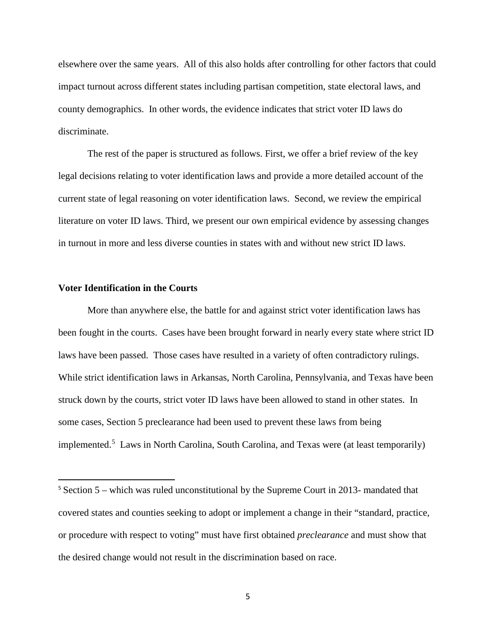elsewhere over the same years. All of this also holds after controlling for other factors that could impact turnout across different states including partisan competition, state electoral laws, and county demographics. In other words, the evidence indicates that strict voter ID laws do discriminate.

The rest of the paper is structured as follows. First, we offer a brief review of the key legal decisions relating to voter identification laws and provide a more detailed account of the current state of legal reasoning on voter identification laws. Second, we review the empirical literature on voter ID laws. Third, we present our own empirical evidence by assessing changes in turnout in more and less diverse counties in states with and without new strict ID laws.

# **Voter Identification in the Courts**

More than anywhere else, the battle for and against strict voter identification laws has been fought in the courts. Cases have been brought forward in nearly every state where strict ID laws have been passed. Those cases have resulted in a variety of often contradictory rulings. While strict identification laws in Arkansas, North Carolina, Pennsylvania, and Texas have been struck down by the courts, strict voter ID laws have been allowed to stand in other states. In some cases, Section 5 preclearance had been used to prevent these laws from being implemented.<sup>[5](#page-4-0)</sup> Laws in North Carolina, South Carolina, and Texas were (at least temporarily)

<span id="page-4-0"></span> <sup>5</sup> Section 5 – which was ruled unconstitutional by the Supreme Court in 2013- mandated that covered states and counties seeking to adopt or implement a change in their "standard, practice, or procedure with respect to voting" must have first obtained *preclearance* and must show that the desired change would not result in the discrimination based on race.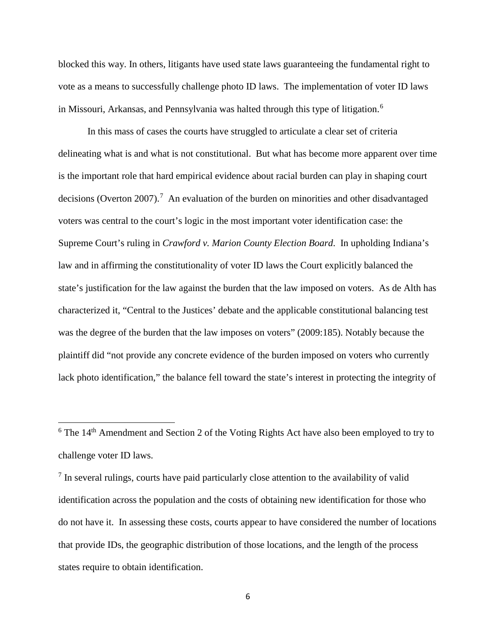blocked this way. In others, litigants have used state laws guaranteeing the fundamental right to vote as a means to successfully challenge photo ID laws. The implementation of voter ID laws in Missouri, Arkansas, and Pennsylvania was halted through this type of litigation.<sup>[6](#page-5-0)</sup>

In this mass of cases the courts have struggled to articulate a clear set of criteria delineating what is and what is not constitutional. But what has become more apparent over time is the important role that hard empirical evidence about racial burden can play in shaping court decisions (Overton 200[7](#page-5-1)).<sup>7</sup> An evaluation of the burden on minorities and other disadvantaged voters was central to the court's logic in the most important voter identification case: the Supreme Court's ruling in *Crawford v. Marion County Election Board*. In upholding Indiana's law and in affirming the constitutionality of voter ID laws the Court explicitly balanced the state's justification for the law against the burden that the law imposed on voters. As de Alth has characterized it, "Central to the Justices' debate and the applicable constitutional balancing test was the degree of the burden that the law imposes on voters" (2009:185). Notably because the plaintiff did "not provide any concrete evidence of the burden imposed on voters who currently lack photo identification," the balance fell toward the state's interest in protecting the integrity of

 $\overline{\phantom{a}}$ 

<span id="page-5-0"></span> $6$  The 14<sup>th</sup> Amendment and Section 2 of the Voting Rights Act have also been employed to try to challenge voter ID laws.

<span id="page-5-1"></span><sup>&</sup>lt;sup>7</sup> In several rulings, courts have paid particularly close attention to the availability of valid identification across the population and the costs of obtaining new identification for those who do not have it. In assessing these costs, courts appear to have considered the number of locations that provide IDs, the geographic distribution of those locations, and the length of the process states require to obtain identification.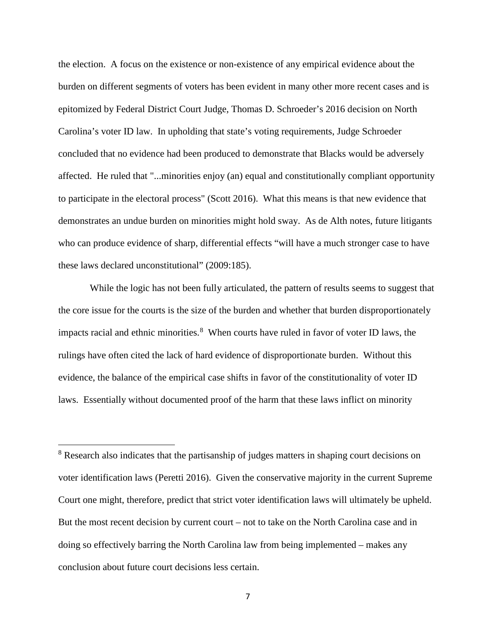the election. A focus on the existence or non-existence of any empirical evidence about the burden on different segments of voters has been evident in many other more recent cases and is epitomized by Federal District Court Judge, Thomas D. Schroeder's 2016 decision on North Carolina's voter ID law. In upholding that state's voting requirements, Judge Schroeder concluded that no evidence had been produced to demonstrate that Blacks would be adversely affected. He ruled that "...minorities enjoy (an) equal and constitutionally compliant opportunity to participate in the electoral process" (Scott 2016). What this means is that new evidence that demonstrates an undue burden on minorities might hold sway. As de Alth notes, future litigants who can produce evidence of sharp, differential effects "will have a much stronger case to have these laws declared unconstitutional" (2009:185).

While the logic has not been fully articulated, the pattern of results seems to suggest that the core issue for the courts is the size of the burden and whether that burden disproportionately impacts racial and ethnic minorities. [8](#page-6-0) When courts have ruled in favor of voter ID laws, the rulings have often cited the lack of hard evidence of disproportionate burden. Without this evidence, the balance of the empirical case shifts in favor of the constitutionality of voter ID laws. Essentially without documented proof of the harm that these laws inflict on minority

l

<span id="page-6-0"></span><sup>&</sup>lt;sup>8</sup> Research also indicates that the partisanship of judges matters in shaping court decisions on voter identification laws (Peretti 2016). Given the conservative majority in the current Supreme Court one might, therefore, predict that strict voter identification laws will ultimately be upheld. But the most recent decision by current court – not to take on the North Carolina case and in doing so effectively barring the North Carolina law from being implemented – makes any conclusion about future court decisions less certain.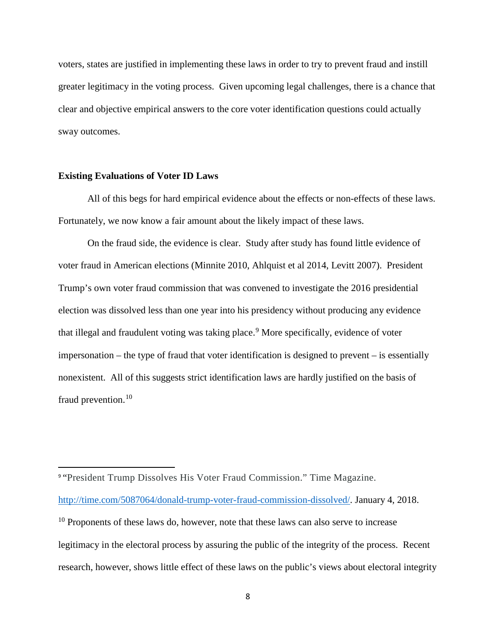voters, states are justified in implementing these laws in order to try to prevent fraud and instill greater legitimacy in the voting process. Given upcoming legal challenges, there is a chance that clear and objective empirical answers to the core voter identification questions could actually sway outcomes.

# **Existing Evaluations of Voter ID Laws**

All of this begs for hard empirical evidence about the effects or non-effects of these laws. Fortunately, we now know a fair amount about the likely impact of these laws.

On the fraud side, the evidence is clear. Study after study has found little evidence of voter fraud in American elections (Minnite 2010, Ahlquist et al 2014, Levitt 2007). President Trump's own voter fraud commission that was convened to investigate the 2016 presidential election was dissolved less than one year into his presidency without producing any evidence that illegal and fraudulent voting was taking place.<sup>[9](#page-7-0)</sup> More specifically, evidence of voter impersonation – the type of fraud that voter identification is designed to prevent – is essentially nonexistent. All of this suggests strict identification laws are hardly justified on the basis of fraud prevention.<sup>[10](#page-7-1)</sup>

<span id="page-7-1"></span><span id="page-7-0"></span> 9 "President Trump Dissolves His Voter Fraud Commission." Time Magazine. [http://time.com/5087064/donald-trump-voter-fraud-commission-dissolved/.](http://time.com/5087064/donald-trump-voter-fraud-commission-dissolved/) January 4, 2018. <sup>10</sup> Proponents of these laws do, however, note that these laws can also serve to increase legitimacy in the electoral process by assuring the public of the integrity of the process. Recent research, however, shows little effect of these laws on the public's views about electoral integrity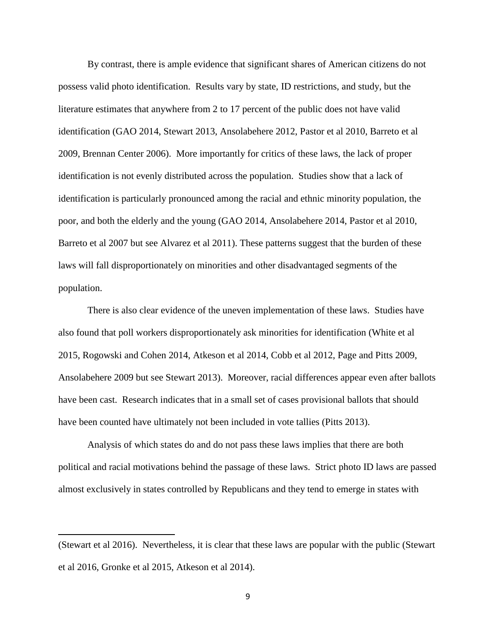By contrast, there is ample evidence that significant shares of American citizens do not possess valid photo identification. Results vary by state, ID restrictions, and study, but the literature estimates that anywhere from 2 to 17 percent of the public does not have valid identification (GAO 2014, Stewart 2013, Ansolabehere 2012, Pastor et al 2010, Barreto et al 2009, Brennan Center 2006). More importantly for critics of these laws, the lack of proper identification is not evenly distributed across the population. Studies show that a lack of identification is particularly pronounced among the racial and ethnic minority population, the poor, and both the elderly and the young (GAO 2014, Ansolabehere 2014, Pastor et al 2010, Barreto et al 2007 but see Alvarez et al 2011). These patterns suggest that the burden of these laws will fall disproportionately on minorities and other disadvantaged segments of the population.

There is also clear evidence of the uneven implementation of these laws. Studies have also found that poll workers disproportionately ask minorities for identification (White et al 2015, Rogowski and Cohen 2014, Atkeson et al 2014, Cobb et al 2012, Page and Pitts 2009, Ansolabehere 2009 but see Stewart 2013). Moreover, racial differences appear even after ballots have been cast. Research indicates that in a small set of cases provisional ballots that should have been counted have ultimately not been included in vote tallies (Pitts 2013).

Analysis of which states do and do not pass these laws implies that there are both political and racial motivations behind the passage of these laws. Strict photo ID laws are passed almost exclusively in states controlled by Republicans and they tend to emerge in states with

 $\overline{\phantom{a}}$ 

<sup>(</sup>Stewart et al 2016). Nevertheless, it is clear that these laws are popular with the public (Stewart et al 2016, Gronke et al 2015, Atkeson et al 2014).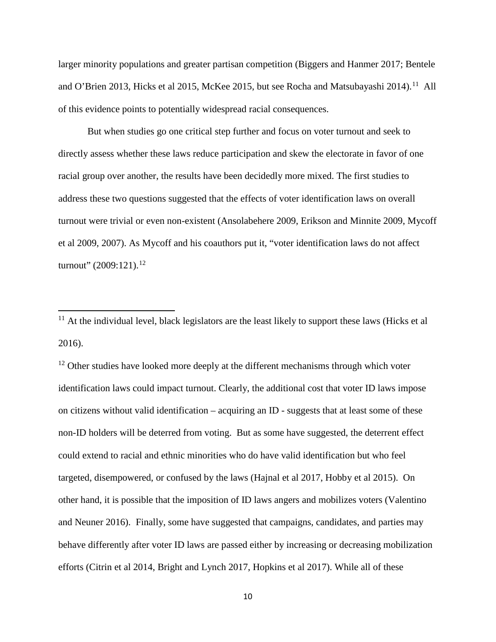larger minority populations and greater partisan competition (Biggers and Hanmer 2017; Bentele and O'Brien 2013, Hicks et al 2015, McKee 2015, but see Rocha and Matsubayashi 2014).<sup>[11](#page-9-0)</sup> All of this evidence points to potentially widespread racial consequences.

But when studies go one critical step further and focus on voter turnout and seek to directly assess whether these laws reduce participation and skew the electorate in favor of one racial group over another, the results have been decidedly more mixed. The first studies to address these two questions suggested that the effects of voter identification laws on overall turnout were trivial or even non-existent (Ansolabehere 2009, Erikson and Minnite 2009, Mycoff et al 2009, 2007). As Mycoff and his coauthors put it, "voter identification laws do not affect turnout" (2009:[12](#page-9-1)1).<sup>12</sup>

 $\overline{\phantom{a}}$ 

<span id="page-9-1"></span> $12$  Other studies have looked more deeply at the different mechanisms through which voter identification laws could impact turnout. Clearly, the additional cost that voter ID laws impose on citizens without valid identification – acquiring an ID - suggests that at least some of these non-ID holders will be deterred from voting. But as some have suggested, the deterrent effect could extend to racial and ethnic minorities who do have valid identification but who feel targeted, disempowered, or confused by the laws (Hajnal et al 2017, Hobby et al 2015). On other hand, it is possible that the imposition of ID laws angers and mobilizes voters (Valentino and Neuner 2016). Finally, some have suggested that campaigns, candidates, and parties may behave differently after voter ID laws are passed either by increasing or decreasing mobilization efforts (Citrin et al 2014, Bright and Lynch 2017, Hopkins et al 2017). While all of these

<span id="page-9-0"></span> $11$  At the individual level, black legislators are the least likely to support these laws (Hicks et al 2016).

<sup>10</sup>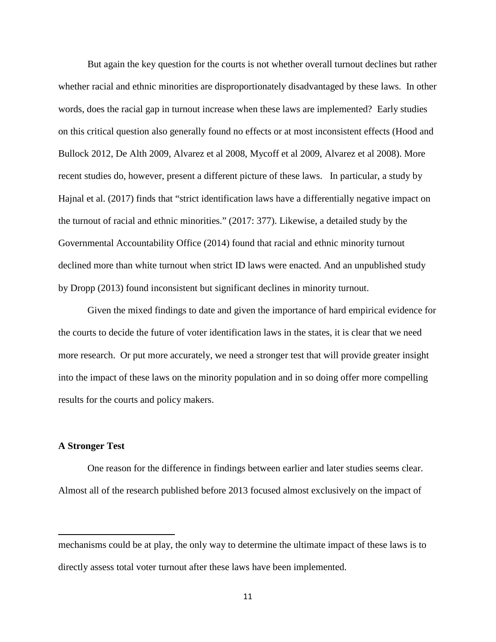But again the key question for the courts is not whether overall turnout declines but rather whether racial and ethnic minorities are disproportionately disadvantaged by these laws. In other words, does the racial gap in turnout increase when these laws are implemented? Early studies on this critical question also generally found no effects or at most inconsistent effects (Hood and Bullock 2012, De Alth 2009, Alvarez et al 2008, Mycoff et al 2009, Alvarez et al 2008). More recent studies do, however, present a different picture of these laws. In particular, a study by Hajnal et al. (2017) finds that "strict identification laws have a differentially negative impact on the turnout of racial and ethnic minorities." (2017: 377). Likewise, a detailed study by the Governmental Accountability Office (2014) found that racial and ethnic minority turnout declined more than white turnout when strict ID laws were enacted. And an unpublished study by Dropp (2013) found inconsistent but significant declines in minority turnout.

Given the mixed findings to date and given the importance of hard empirical evidence for the courts to decide the future of voter identification laws in the states, it is clear that we need more research. Or put more accurately, we need a stronger test that will provide greater insight into the impact of these laws on the minority population and in so doing offer more compelling results for the courts and policy makers.

# **A Stronger Test**

 $\overline{\phantom{a}}$ 

One reason for the difference in findings between earlier and later studies seems clear. Almost all of the research published before 2013 focused almost exclusively on the impact of

mechanisms could be at play, the only way to determine the ultimate impact of these laws is to directly assess total voter turnout after these laws have been implemented.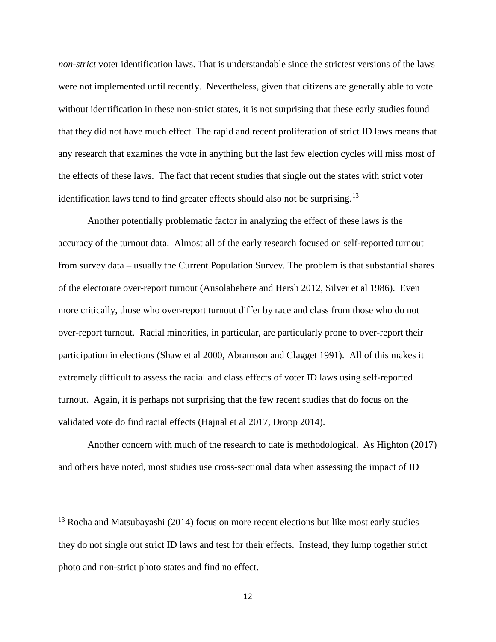*non-strict* voter identification laws. That is understandable since the strictest versions of the laws were not implemented until recently. Nevertheless, given that citizens are generally able to vote without identification in these non-strict states, it is not surprising that these early studies found that they did not have much effect. The rapid and recent proliferation of strict ID laws means that any research that examines the vote in anything but the last few election cycles will miss most of the effects of these laws. The fact that recent studies that single out the states with strict voter identification laws tend to find greater effects should also not be surprising.<sup>[13](#page-11-0)</sup>

Another potentially problematic factor in analyzing the effect of these laws is the accuracy of the turnout data. Almost all of the early research focused on self-reported turnout from survey data – usually the Current Population Survey. The problem is that substantial shares of the electorate over-report turnout (Ansolabehere and Hersh 2012, Silver et al 1986). Even more critically, those who over-report turnout differ by race and class from those who do not over-report turnout. Racial minorities, in particular, are particularly prone to over-report their participation in elections (Shaw et al 2000, Abramson and Clagget 1991). All of this makes it extremely difficult to assess the racial and class effects of voter ID laws using self-reported turnout. Again, it is perhaps not surprising that the few recent studies that do focus on the validated vote do find racial effects (Hajnal et al 2017, Dropp 2014).

Another concern with much of the research to date is methodological. As Highton (2017) and others have noted, most studies use cross-sectional data when assessing the impact of ID

l

<span id="page-11-0"></span> $13$  Rocha and Matsubayashi (2014) focus on more recent elections but like most early studies they do not single out strict ID laws and test for their effects. Instead, they lump together strict photo and non-strict photo states and find no effect.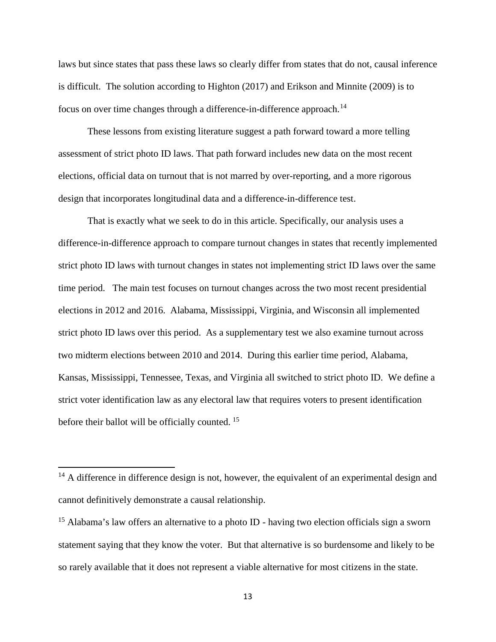laws but since states that pass these laws so clearly differ from states that do not, causal inference is difficult. The solution according to Highton (2017) and Erikson and Minnite (2009) is to focus on over time changes through a difference-in-difference approach.<sup>[14](#page-12-0)</sup>

These lessons from existing literature suggest a path forward toward a more telling assessment of strict photo ID laws. That path forward includes new data on the most recent elections, official data on turnout that is not marred by over-reporting, and a more rigorous design that incorporates longitudinal data and a difference-in-difference test.

That is exactly what we seek to do in this article. Specifically, our analysis uses a difference-in-difference approach to compare turnout changes in states that recently implemented strict photo ID laws with turnout changes in states not implementing strict ID laws over the same time period. The main test focuses on turnout changes across the two most recent presidential elections in 2012 and 2016. Alabama, Mississippi, Virginia, and Wisconsin all implemented strict photo ID laws over this period. As a supplementary test we also examine turnout across two midterm elections between 2010 and 2014. During this earlier time period, Alabama, Kansas, Mississippi, Tennessee, Texas, and Virginia all switched to strict photo ID. We define a strict voter identification law as any electoral law that requires voters to present identification before their ballot will be officially counted.<sup>[15](#page-12-1)</sup>

 $\overline{a}$ 

<span id="page-12-0"></span><sup>&</sup>lt;sup>14</sup> A difference in difference design is not, however, the equivalent of an experimental design and cannot definitively demonstrate a causal relationship.

<span id="page-12-1"></span><sup>&</sup>lt;sup>15</sup> Alabama's law offers an alternative to a photo ID - having two election officials sign a sworn statement saying that they know the voter. But that alternative is so burdensome and likely to be so rarely available that it does not represent a viable alternative for most citizens in the state.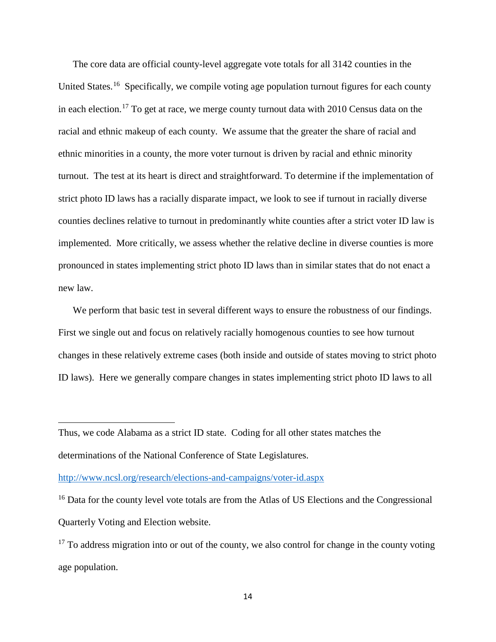The core data are official county-level aggregate vote totals for all 3142 counties in the United States.<sup>[16](#page-13-0)</sup> Specifically, we compile voting age population turnout figures for each county in each election.<sup>[17](#page-13-1)</sup> To get at race, we merge county turnout data with 2010 Census data on the racial and ethnic makeup of each county. We assume that the greater the share of racial and ethnic minorities in a county, the more voter turnout is driven by racial and ethnic minority turnout. The test at its heart is direct and straightforward. To determine if the implementation of strict photo ID laws has a racially disparate impact, we look to see if turnout in racially diverse counties declines relative to turnout in predominantly white counties after a strict voter ID law is implemented. More critically, we assess whether the relative decline in diverse counties is more pronounced in states implementing strict photo ID laws than in similar states that do not enact a new law.

We perform that basic test in several different ways to ensure the robustness of our findings. First we single out and focus on relatively racially homogenous counties to see how turnout changes in these relatively extreme cases (both inside and outside of states moving to strict photo ID laws). Here we generally compare changes in states implementing strict photo ID laws to all

 $\overline{\phantom{a}}$ 

Thus, we code Alabama as a strict ID state. Coding for all other states matches the determinations of the National Conference of State Legislatures.

<http://www.ncsl.org/research/elections-and-campaigns/voter-id.aspx>

<span id="page-13-0"></span><sup>&</sup>lt;sup>16</sup> Data for the county level vote totals are from the Atlas of US Elections and the Congressional Quarterly Voting and Election website.

<span id="page-13-1"></span> $17$  To address migration into or out of the county, we also control for change in the county voting age population.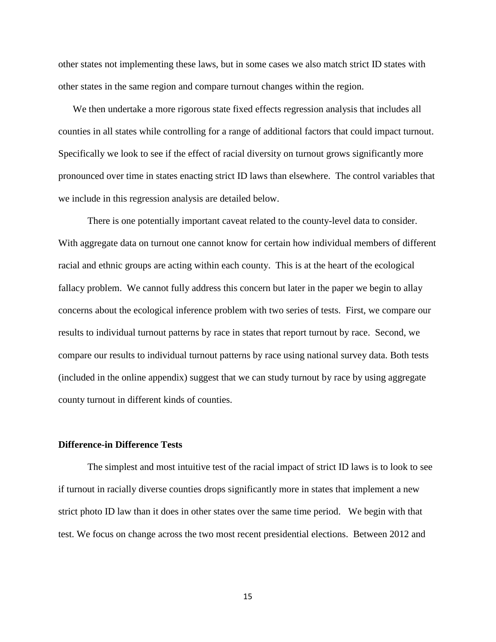other states not implementing these laws, but in some cases we also match strict ID states with other states in the same region and compare turnout changes within the region.

We then undertake a more rigorous state fixed effects regression analysis that includes all counties in all states while controlling for a range of additional factors that could impact turnout. Specifically we look to see if the effect of racial diversity on turnout grows significantly more pronounced over time in states enacting strict ID laws than elsewhere. The control variables that we include in this regression analysis are detailed below.

There is one potentially important caveat related to the county-level data to consider. With aggregate data on turnout one cannot know for certain how individual members of different racial and ethnic groups are acting within each county. This is at the heart of the ecological fallacy problem. We cannot fully address this concern but later in the paper we begin to allay concerns about the ecological inference problem with two series of tests. First, we compare our results to individual turnout patterns by race in states that report turnout by race. Second, we compare our results to individual turnout patterns by race using national survey data. Both tests (included in the online appendix) suggest that we can study turnout by race by using aggregate county turnout in different kinds of counties.

# **Difference-in Difference Tests**

The simplest and most intuitive test of the racial impact of strict ID laws is to look to see if turnout in racially diverse counties drops significantly more in states that implement a new strict photo ID law than it does in other states over the same time period. We begin with that test. We focus on change across the two most recent presidential elections. Between 2012 and

15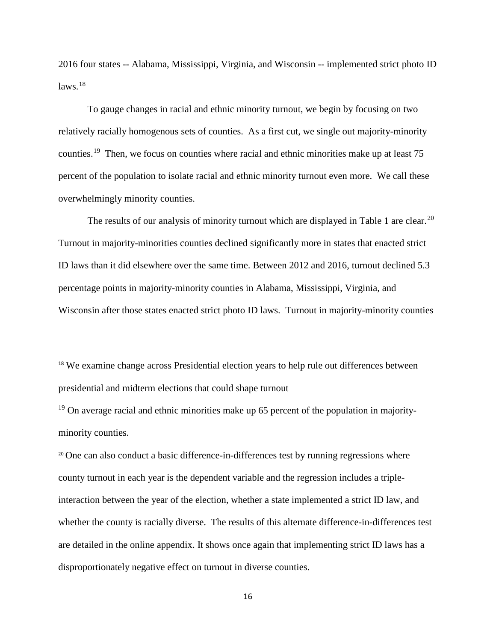2016 four states -- Alabama, Mississippi, Virginia, and Wisconsin -- implemented strict photo ID laws. [18](#page-15-0)

To gauge changes in racial and ethnic minority turnout, we begin by focusing on two relatively racially homogenous sets of counties. As a first cut, we single out majority-minority counties.<sup>19</sup> Then, we focus on counties where racial and ethnic minorities make up at least 75 percent of the population to isolate racial and ethnic minority turnout even more. We call these overwhelmingly minority counties.

The results of our analysis of minority turnout which are displayed in Table 1 are clear.<sup>[20](#page-15-2)</sup> Turnout in majority-minorities counties declined significantly more in states that enacted strict ID laws than it did elsewhere over the same time. Between 2012 and 2016, turnout declined 5.3 percentage points in majority-minority counties in Alabama, Mississippi, Virginia, and Wisconsin after those states enacted strict photo ID laws. Turnout in majority-minority counties

<span id="page-15-0"></span><sup>18</sup> We examine change across Presidential election years to help rule out differences between presidential and midterm elections that could shape turnout

<span id="page-15-1"></span> $19$  On average racial and ethnic minorities make up 65 percent of the population in majorityminority counties.

<span id="page-15-2"></span><sup>20</sup> One can also conduct a basic difference-in-differences test by running regressions where county turnout in each year is the dependent variable and the regression includes a tripleinteraction between the year of the election, whether a state implemented a strict ID law, and whether the county is racially diverse. The results of this alternate difference-in-differences test are detailed in the online appendix. It shows once again that implementing strict ID laws has a disproportionately negative effect on turnout in diverse counties.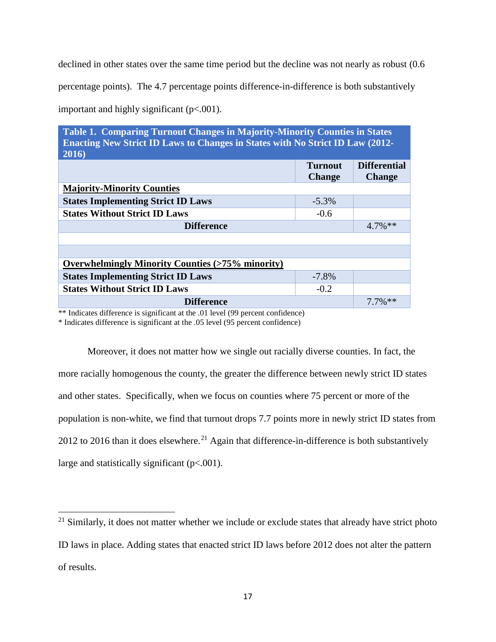declined in other states over the same time period but the decline was not nearly as robust  $(0.6$ 

percentage points). The 4.7 percentage points difference-in-difference is both substantively

important and highly significant (p<.001).

**Table 1. Comparing Turnout Changes in Majority-Minority Counties in States Enacting New Strict ID Laws to Changes in States with No Strict ID Law (2012- 2016)**

|                                                            | <b>Turnout</b><br><b>Change</b> | <b>Differential</b><br><b>Change</b> |  |  |  |
|------------------------------------------------------------|---------------------------------|--------------------------------------|--|--|--|
| <b>Majority-Minority Counties</b>                          |                                 |                                      |  |  |  |
| <b>States Implementing Strict ID Laws</b>                  | $-5.3\%$                        |                                      |  |  |  |
| <b>States Without Strict ID Laws</b>                       | $-0.6$                          |                                      |  |  |  |
| <b>Difference</b>                                          |                                 | $4.7\%$ **                           |  |  |  |
|                                                            |                                 |                                      |  |  |  |
|                                                            |                                 |                                      |  |  |  |
| <b>Overwhelmingly Minority Counties (&gt;75% minority)</b> |                                 |                                      |  |  |  |
| <b>States Implementing Strict ID Laws</b>                  | $-7.8\%$                        |                                      |  |  |  |
| <b>States Without Strict ID Laws</b>                       | $-0.2$                          |                                      |  |  |  |
| <b>Difference</b>                                          |                                 | $7.7\%$ **                           |  |  |  |

\*\* Indicates difference is significant at the .01 level (99 percent confidence)

\* Indicates difference is significant at the .05 level (95 percent confidence)

l

Moreover, it does not matter how we single out racially diverse counties. In fact, the more racially homogenous the county, the greater the difference between newly strict ID states and other states. Specifically, when we focus on counties where 75 percent or more of the population is non-white, we find that turnout drops 7.7 points more in newly strict ID states from 2012 to 2016 than it does elsewhere.<sup>[21](#page-16-0)</sup> Again that difference-in-difference is both substantively large and statistically significant (p<.001).

<span id="page-16-0"></span> $21$  Similarly, it does not matter whether we include or exclude states that already have strict photo ID laws in place. Adding states that enacted strict ID laws before 2012 does not alter the pattern of results.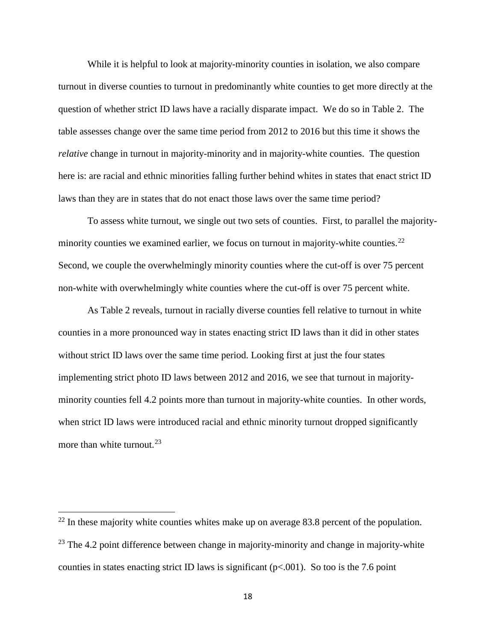While it is helpful to look at majority-minority counties in isolation, we also compare turnout in diverse counties to turnout in predominantly white counties to get more directly at the question of whether strict ID laws have a racially disparate impact. We do so in Table 2. The table assesses change over the same time period from 2012 to 2016 but this time it shows the *relative* change in turnout in majority-minority and in majority-white counties. The question here is: are racial and ethnic minorities falling further behind whites in states that enact strict ID laws than they are in states that do not enact those laws over the same time period?

To assess white turnout, we single out two sets of counties. First, to parallel the majorityminority counties we examined earlier, we focus on turnout in majority-white counties. $22$ Second, we couple the overwhelmingly minority counties where the cut-off is over 75 percent non-white with overwhelmingly white counties where the cut-off is over 75 percent white.

As Table 2 reveals, turnout in racially diverse counties fell relative to turnout in white counties in a more pronounced way in states enacting strict ID laws than it did in other states without strict ID laws over the same time period. Looking first at just the four states implementing strict photo ID laws between 2012 and 2016, we see that turnout in majorityminority counties fell 4.2 points more than turnout in majority-white counties. In other words, when strict ID laws were introduced racial and ethnic minority turnout dropped significantly more than white turnout.<sup>[23](#page-17-1)</sup>

l

<span id="page-17-1"></span><span id="page-17-0"></span> $^{22}$  In these majority white counties whites make up on average 83.8 percent of the population.  $^{23}$  The 4.2 point difference between change in majority-minority and change in majority-white counties in states enacting strict ID laws is significant ( $p<0.001$ ). So too is the 7.6 point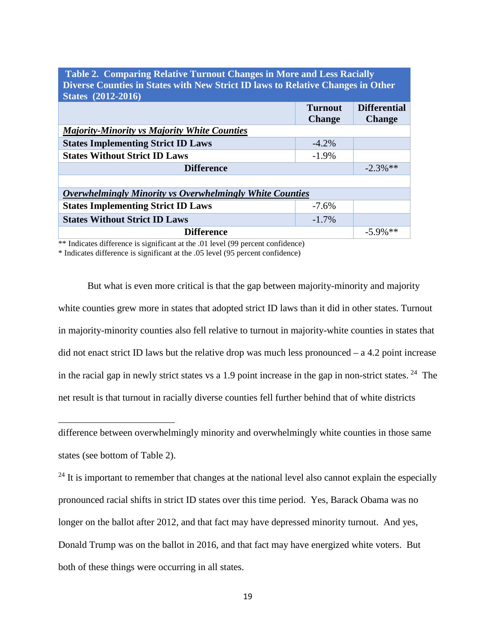| Table 2. Comparing included Turnout Changes in thore and Less Nacially          |                |                     |  |  |  |  |
|---------------------------------------------------------------------------------|----------------|---------------------|--|--|--|--|
| Diverse Counties in States with New Strict ID laws to Relative Changes in Other |                |                     |  |  |  |  |
|                                                                                 |                |                     |  |  |  |  |
| <b>States</b> (2012-2016)                                                       |                |                     |  |  |  |  |
|                                                                                 | <b>Turnout</b> | <b>Differential</b> |  |  |  |  |
|                                                                                 | <b>Change</b>  | <b>Change</b>       |  |  |  |  |
| <b>Majority-Minority vs Majority White Counties</b>                             |                |                     |  |  |  |  |
| <b>States Implementing Strict ID Laws</b>                                       | $-4.2\%$       |                     |  |  |  |  |
| <b>States Without Strict ID Laws</b>                                            | $-1.9\%$       |                     |  |  |  |  |
| <b>Difference</b>                                                               |                | $-2.3\%$ **         |  |  |  |  |
|                                                                                 |                |                     |  |  |  |  |
| <b>Overwhelmingly Minority vs Overwhelmingly White Counties</b>                 |                |                     |  |  |  |  |
| <b>States Implementing Strict ID Laws</b>                                       | $-7.6\%$       |                     |  |  |  |  |
| <b>States Without Strict ID Laws</b>                                            | $-1.7\%$       |                     |  |  |  |  |
| <b>Difference</b>                                                               |                | $-5.9\%$ **         |  |  |  |  |

**Table 2. Comparing Relative Turnout Changes in More and Less Racially** 

\*\* Indicates difference is significant at the .01 level (99 percent confidence)

\* Indicates difference is significant at the .05 level (95 percent confidence)

 $\overline{\phantom{a}}$ 

But what is even more critical is that the gap between majority-minority and majority white counties grew more in states that adopted strict ID laws than it did in other states. Turnout in majority-minority counties also fell relative to turnout in majority-white counties in states that did not enact strict ID laws but the relative drop was much less pronounced – a 4.2 point increase in the racial gap in newly strict states vs a 1.9 point increase in the gap in non-strict states.  $24$  The net result is that turnout in racially diverse counties fell further behind that of white districts

difference between overwhelmingly minority and overwhelmingly white counties in those same states (see bottom of Table 2).

<span id="page-18-0"></span> $24$  It is important to remember that changes at the national level also cannot explain the especially pronounced racial shifts in strict ID states over this time period. Yes, Barack Obama was no longer on the ballot after 2012, and that fact may have depressed minority turnout. And yes, Donald Trump was on the ballot in 2016, and that fact may have energized white voters. But both of these things were occurring in all states.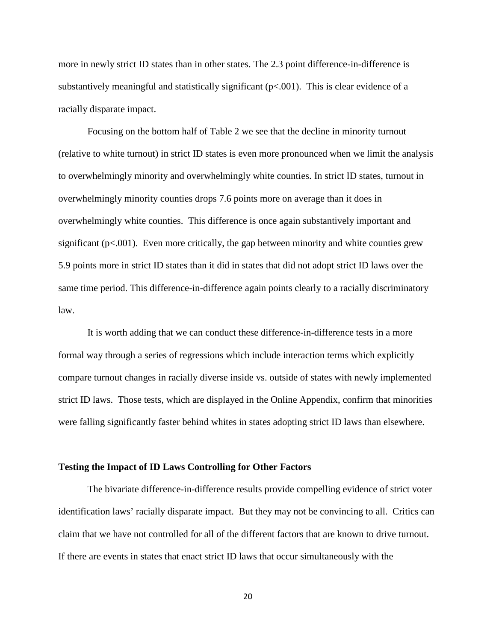more in newly strict ID states than in other states. The 2.3 point difference-in-difference is substantively meaningful and statistically significant  $(p<.001)$ . This is clear evidence of a racially disparate impact.

Focusing on the bottom half of Table 2 we see that the decline in minority turnout (relative to white turnout) in strict ID states is even more pronounced when we limit the analysis to overwhelmingly minority and overwhelmingly white counties. In strict ID states, turnout in overwhelmingly minority counties drops 7.6 points more on average than it does in overwhelmingly white counties. This difference is once again substantively important and significant ( $p<0.001$ ). Even more critically, the gap between minority and white counties grew 5.9 points more in strict ID states than it did in states that did not adopt strict ID laws over the same time period. This difference-in-difference again points clearly to a racially discriminatory law.

It is worth adding that we can conduct these difference-in-difference tests in a more formal way through a series of regressions which include interaction terms which explicitly compare turnout changes in racially diverse inside vs. outside of states with newly implemented strict ID laws. Those tests, which are displayed in the Online Appendix, confirm that minorities were falling significantly faster behind whites in states adopting strict ID laws than elsewhere.

#### **Testing the Impact of ID Laws Controlling for Other Factors**

The bivariate difference-in-difference results provide compelling evidence of strict voter identification laws' racially disparate impact. But they may not be convincing to all. Critics can claim that we have not controlled for all of the different factors that are known to drive turnout. If there are events in states that enact strict ID laws that occur simultaneously with the

20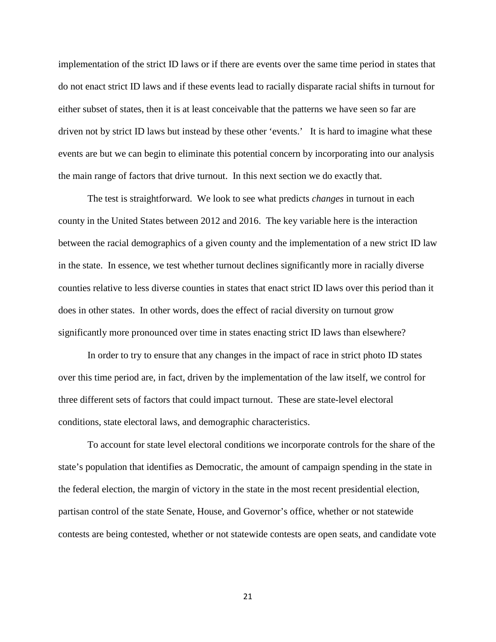implementation of the strict ID laws or if there are events over the same time period in states that do not enact strict ID laws and if these events lead to racially disparate racial shifts in turnout for either subset of states, then it is at least conceivable that the patterns we have seen so far are driven not by strict ID laws but instead by these other 'events.' It is hard to imagine what these events are but we can begin to eliminate this potential concern by incorporating into our analysis the main range of factors that drive turnout. In this next section we do exactly that.

The test is straightforward. We look to see what predicts *changes* in turnout in each county in the United States between 2012 and 2016. The key variable here is the interaction between the racial demographics of a given county and the implementation of a new strict ID law in the state. In essence, we test whether turnout declines significantly more in racially diverse counties relative to less diverse counties in states that enact strict ID laws over this period than it does in other states. In other words, does the effect of racial diversity on turnout grow significantly more pronounced over time in states enacting strict ID laws than elsewhere?

In order to try to ensure that any changes in the impact of race in strict photo ID states over this time period are, in fact, driven by the implementation of the law itself, we control for three different sets of factors that could impact turnout. These are state-level electoral conditions, state electoral laws, and demographic characteristics.

To account for state level electoral conditions we incorporate controls for the share of the state's population that identifies as Democratic, the amount of campaign spending in the state in the federal election, the margin of victory in the state in the most recent presidential election, partisan control of the state Senate, House, and Governor's office, whether or not statewide contests are being contested, whether or not statewide contests are open seats, and candidate vote

21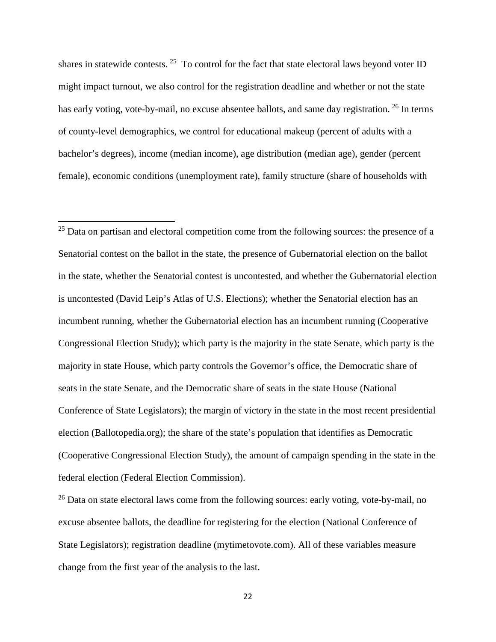shares in statewide contests. <sup>[25](#page-21-0)</sup> To control for the fact that state electoral laws beyond voter ID might impact turnout, we also control for the registration deadline and whether or not the state has early voting, vote-by-mail, no excuse absentee ballots, and same day registration. <sup>[26](#page-21-1)</sup> In terms of county-level demographics, we control for educational makeup (percent of adults with a bachelor's degrees), income (median income), age distribution (median age), gender (percent female), economic conditions (unemployment rate), family structure (share of households with

l

<span id="page-21-0"></span><sup>25</sup> Data on partisan and electoral competition come from the following sources: the presence of a Senatorial contest on the ballot in the state, the presence of Gubernatorial election on the ballot in the state, whether the Senatorial contest is uncontested, and whether the Gubernatorial election is uncontested (David Leip's Atlas of U.S. Elections); whether the Senatorial election has an incumbent running, whether the Gubernatorial election has an incumbent running (Cooperative Congressional Election Study); which party is the majority in the state Senate, which party is the majority in state House, which party controls the Governor's office, the Democratic share of seats in the state Senate, and the Democratic share of seats in the state House (National Conference of State Legislators); the margin of victory in the state in the most recent presidential election (Ballotopedia.org); the share of the state's population that identifies as Democratic (Cooperative Congressional Election Study), the amount of campaign spending in the state in the federal election (Federal Election Commission).

<span id="page-21-1"></span> $^{26}$  Data on state electoral laws come from the following sources: early voting, vote-by-mail, no excuse absentee ballots, the deadline for registering for the election (National Conference of State Legislators); registration deadline (mytimetovote.com). All of these variables measure change from the first year of the analysis to the last.

<sup>22</sup>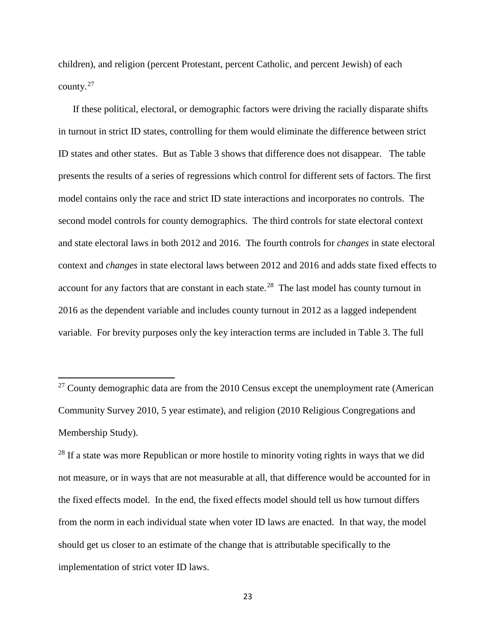children), and religion (percent Protestant, percent Catholic, and percent Jewish) of each county. $27$ 

If these political, electoral, or demographic factors were driving the racially disparate shifts in turnout in strict ID states, controlling for them would eliminate the difference between strict ID states and other states. But as Table 3 shows that difference does not disappear. The table presents the results of a series of regressions which control for different sets of factors. The first model contains only the race and strict ID state interactions and incorporates no controls. The second model controls for county demographics. The third controls for state electoral context and state electoral laws in both 2012 and 2016. The fourth controls for *changes* in state electoral context and *changes* in state electoral laws between 2012 and 2016 and adds state fixed effects to account for any factors that are constant in each state.<sup>28</sup> The last model has county turnout in 2016 as the dependent variable and includes county turnout in 2012 as a lagged independent variable. For brevity purposes only the key interaction terms are included in Table 3. The full

 $\overline{\phantom{a}}$ 

<span id="page-22-0"></span> $27$  County demographic data are from the 2010 Census except the unemployment rate (American Community Survey 2010, 5 year estimate), and religion (2010 Religious Congregations and Membership Study).

<span id="page-22-1"></span> $28$  If a state was more Republican or more hostile to minority voting rights in ways that we did not measure, or in ways that are not measurable at all, that difference would be accounted for in the fixed effects model. In the end, the fixed effects model should tell us how turnout differs from the norm in each individual state when voter ID laws are enacted. In that way, the model should get us closer to an estimate of the change that is attributable specifically to the implementation of strict voter ID laws.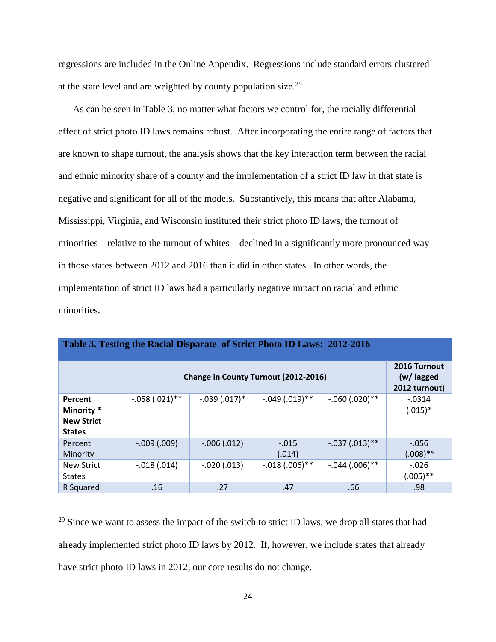regressions are included in the Online Appendix. Regressions include standard errors clustered at the state level and are weighted by county population size.<sup>[29](#page-23-0)</sup>

As can be seen in Table 3, no matter what factors we control for, the racially differential effect of strict photo ID laws remains robust. After incorporating the entire range of factors that are known to shape turnout, the analysis shows that the key interaction term between the racial and ethnic minority share of a county and the implementation of a strict ID law in that state is negative and significant for all of the models. Substantively, this means that after Alabama, Mississippi, Virginia, and Wisconsin instituted their strict photo ID laws, the turnout of minorities – relative to the turnout of whites – declined in a significantly more pronounced way in those states between 2012 and 2016 than it did in other states. In other words, the implementation of strict ID laws had a particularly negative impact on racial and ethnic minorities.

| Table 3. Testing the Racial Disparate of Strict Photo ID Laws: 2012-2016 |                                      |                |                   |                  |                                             |
|--------------------------------------------------------------------------|--------------------------------------|----------------|-------------------|------------------|---------------------------------------------|
|                                                                          | Change in County Turnout (2012-2016) |                |                   |                  | 2016 Turnout<br>(w/ lagged<br>2012 turnout) |
| Percent<br>Minority <sup>*</sup><br><b>New Strict</b><br><b>States</b>   | $-.058(.021)$ **                     | $-.039(.017)*$ | $-.049(.019)$ **  | $-.060(.020)$ ** | $-0.0314$<br>$(.015)*$                      |
| Percent<br>Minority                                                      | $-009(000)$                          | $-.006(.012)$  | $-.015$<br>(.014) | $-.037(.013)$ ** | $-.056$<br>$(.008)$ **                      |
| <b>New Strict</b><br><b>States</b>                                       | $-.018(.014)$                        | $-.020(.013)$  | $-.018(.006)$ **  | $-.044(.006)$ ** | $-.026$<br>$(.005)$ **                      |
| R Squared                                                                | .16                                  | .27            | .47               | .66              | .98                                         |

<span id="page-23-0"></span> $29$  Since we want to assess the impact of the switch to strict ID laws, we drop all states that had already implemented strict photo ID laws by 2012. If, however, we include states that already have strict photo ID laws in 2012, our core results do not change.

l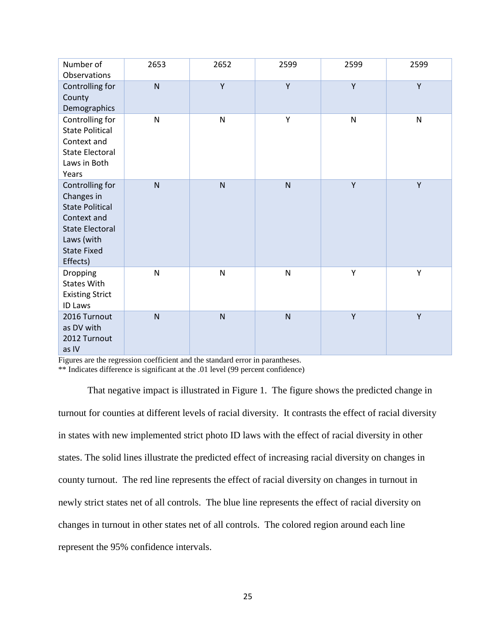| Number of<br>Observations                                                                                                                        | 2653         | 2652         | 2599           | 2599         | 2599         |
|--------------------------------------------------------------------------------------------------------------------------------------------------|--------------|--------------|----------------|--------------|--------------|
| Controlling for<br>County<br>Demographics                                                                                                        | $\mathsf{N}$ | Y            | Y              | Y            | Y            |
| Controlling for<br><b>State Political</b><br>Context and<br><b>State Electoral</b><br>Laws in Both<br>Years                                      | N            | ${\sf N}$    | Υ              | $\mathsf{N}$ | $\mathsf{N}$ |
| Controlling for<br>Changes in<br><b>State Political</b><br>Context and<br><b>State Electoral</b><br>Laws (with<br><b>State Fixed</b><br>Effects) | $\mathsf{N}$ | ${\sf N}$    | $\overline{N}$ | Y            | Y            |
| <b>Dropping</b><br><b>States With</b><br><b>Existing Strict</b><br><b>ID Laws</b>                                                                | $\mathsf{N}$ | ${\sf N}$    | ${\sf N}$      | Υ            | Υ            |
| 2016 Turnout<br>as DV with<br>2012 Turnout<br>as IV                                                                                              | $\mathsf{N}$ | $\mathsf{N}$ | $\mathsf{N}$   | Υ            | Y            |

Figures are the regression coefficient and the standard error in parantheses.

\*\* Indicates difference is significant at the .01 level (99 percent confidence)

That negative impact is illustrated in Figure 1. The figure shows the predicted change in turnout for counties at different levels of racial diversity. It contrasts the effect of racial diversity in states with new implemented strict photo ID laws with the effect of racial diversity in other states. The solid lines illustrate the predicted effect of increasing racial diversity on changes in county turnout. The red line represents the effect of racial diversity on changes in turnout in newly strict states net of all controls. The blue line represents the effect of racial diversity on changes in turnout in other states net of all controls. The colored region around each line represent the 95% confidence intervals.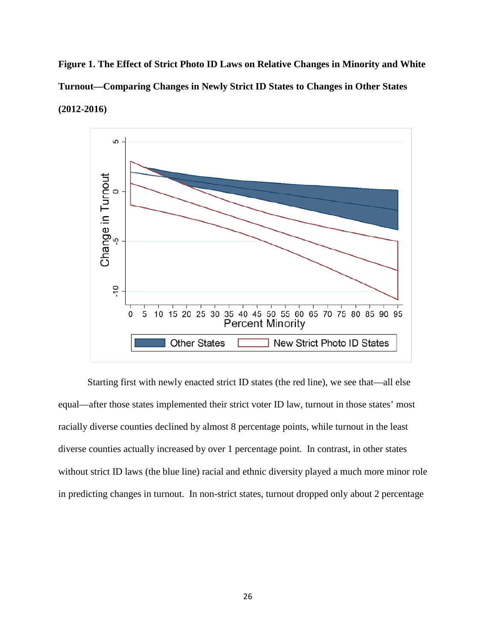**Figure 1. The Effect of Strict Photo ID Laws on Relative Changes in Minority and White Turnout—Comparing Changes in Newly Strict ID States to Changes in Other States (2012-2016)**



Starting first with newly enacted strict ID states (the red line), we see that—all else equal—after those states implemented their strict voter ID law, turnout in those states' most racially diverse counties declined by almost 8 percentage points, while turnout in the least diverse counties actually increased by over 1 percentage point. In contrast, in other states without strict ID laws (the blue line) racial and ethnic diversity played a much more minor role in predicting changes in turnout. In non-strict states, turnout dropped only about 2 percentage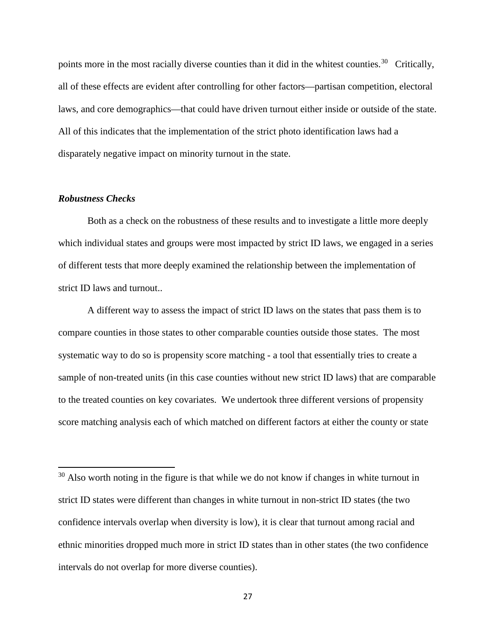points more in the most racially diverse counties than it did in the whitest counties.<sup>[30](#page-26-0)</sup> Critically, all of these effects are evident after controlling for other factors—partisan competition, electoral laws, and core demographics—that could have driven turnout either inside or outside of the state. All of this indicates that the implementation of the strict photo identification laws had a disparately negative impact on minority turnout in the state.

# *Robustness Checks*

 $\overline{a}$ 

Both as a check on the robustness of these results and to investigate a little more deeply which individual states and groups were most impacted by strict ID laws, we engaged in a series of different tests that more deeply examined the relationship between the implementation of strict ID laws and turnout..

A different way to assess the impact of strict ID laws on the states that pass them is to compare counties in those states to other comparable counties outside those states. The most systematic way to do so is propensity score matching - a tool that essentially tries to create a sample of non-treated units (in this case counties without new strict ID laws) that are comparable to the treated counties on key covariates. We undertook three different versions of propensity score matching analysis each of which matched on different factors at either the county or state

<span id="page-26-0"></span> $30$  Also worth noting in the figure is that while we do not know if changes in white turnout in strict ID states were different than changes in white turnout in non-strict ID states (the two confidence intervals overlap when diversity is low), it is clear that turnout among racial and ethnic minorities dropped much more in strict ID states than in other states (the two confidence intervals do not overlap for more diverse counties).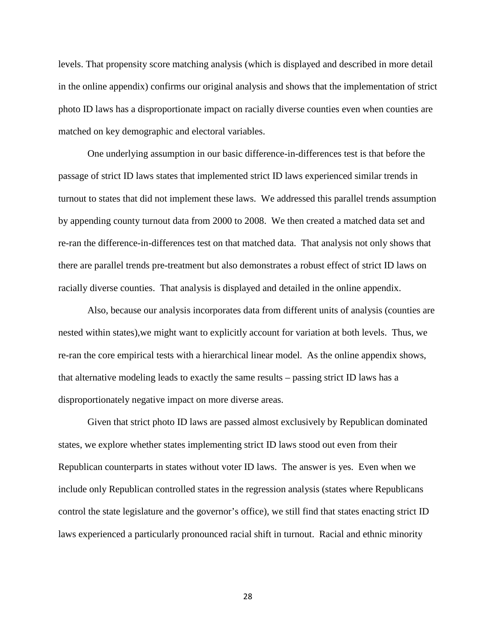levels. That propensity score matching analysis (which is displayed and described in more detail in the online appendix) confirms our original analysis and shows that the implementation of strict photo ID laws has a disproportionate impact on racially diverse counties even when counties are matched on key demographic and electoral variables.

One underlying assumption in our basic difference-in-differences test is that before the passage of strict ID laws states that implemented strict ID laws experienced similar trends in turnout to states that did not implement these laws. We addressed this parallel trends assumption by appending county turnout data from 2000 to 2008. We then created a matched data set and re-ran the difference-in-differences test on that matched data. That analysis not only shows that there are parallel trends pre-treatment but also demonstrates a robust effect of strict ID laws on racially diverse counties. That analysis is displayed and detailed in the online appendix.

Also, because our analysis incorporates data from different units of analysis (counties are nested within states),we might want to explicitly account for variation at both levels. Thus, we re-ran the core empirical tests with a hierarchical linear model. As the online appendix shows, that alternative modeling leads to exactly the same results – passing strict ID laws has a disproportionately negative impact on more diverse areas.

Given that strict photo ID laws are passed almost exclusively by Republican dominated states, we explore whether states implementing strict ID laws stood out even from their Republican counterparts in states without voter ID laws. The answer is yes. Even when we include only Republican controlled states in the regression analysis (states where Republicans control the state legislature and the governor's office), we still find that states enacting strict ID laws experienced a particularly pronounced racial shift in turnout. Racial and ethnic minority

28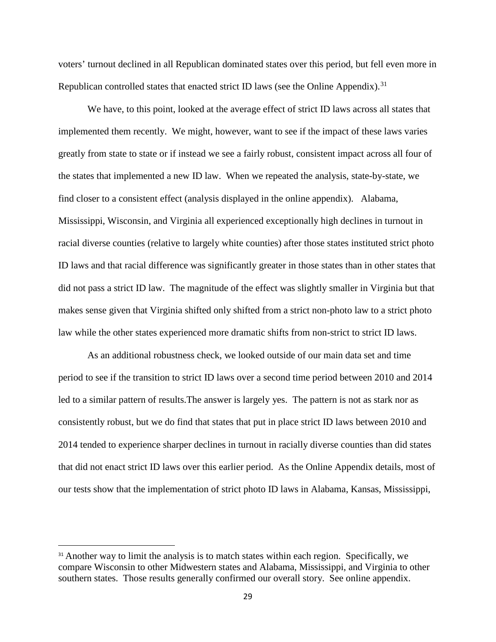voters' turnout declined in all Republican dominated states over this period, but fell even more in Republican controlled states that enacted strict ID laws (see the Online Appendix).<sup>31</sup>

We have, to this point, looked at the average effect of strict ID laws across all states that implemented them recently. We might, however, want to see if the impact of these laws varies greatly from state to state or if instead we see a fairly robust, consistent impact across all four of the states that implemented a new ID law. When we repeated the analysis, state-by-state, we find closer to a consistent effect (analysis displayed in the online appendix). Alabama, Mississippi, Wisconsin, and Virginia all experienced exceptionally high declines in turnout in racial diverse counties (relative to largely white counties) after those states instituted strict photo ID laws and that racial difference was significantly greater in those states than in other states that did not pass a strict ID law. The magnitude of the effect was slightly smaller in Virginia but that makes sense given that Virginia shifted only shifted from a strict non-photo law to a strict photo law while the other states experienced more dramatic shifts from non-strict to strict ID laws.

As an additional robustness check, we looked outside of our main data set and time period to see if the transition to strict ID laws over a second time period between 2010 and 2014 led to a similar pattern of results.The answer is largely yes. The pattern is not as stark nor as consistently robust, but we do find that states that put in place strict ID laws between 2010 and 2014 tended to experience sharper declines in turnout in racially diverse counties than did states that did not enact strict ID laws over this earlier period. As the Online Appendix details, most of our tests show that the implementation of strict photo ID laws in Alabama, Kansas, Mississippi,

<span id="page-28-0"></span><sup>&</sup>lt;sup>31</sup> Another way to limit the analysis is to match states within each region. Specifically, we compare Wisconsin to other Midwestern states and Alabama, Mississippi, and Virginia to other southern states. Those results generally confirmed our overall story. See online appendix.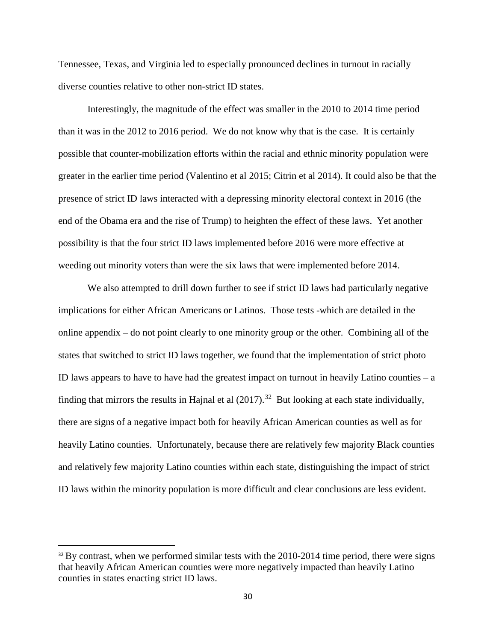Tennessee, Texas, and Virginia led to especially pronounced declines in turnout in racially diverse counties relative to other non-strict ID states.

Interestingly, the magnitude of the effect was smaller in the 2010 to 2014 time period than it was in the 2012 to 2016 period. We do not know why that is the case. It is certainly possible that counter-mobilization efforts within the racial and ethnic minority population were greater in the earlier time period (Valentino et al 2015; Citrin et al 2014). It could also be that the presence of strict ID laws interacted with a depressing minority electoral context in 2016 (the end of the Obama era and the rise of Trump) to heighten the effect of these laws. Yet another possibility is that the four strict ID laws implemented before 2016 were more effective at weeding out minority voters than were the six laws that were implemented before 2014.

We also attempted to drill down further to see if strict ID laws had particularly negative implications for either African Americans or Latinos. Those tests -which are detailed in the online appendix – do not point clearly to one minority group or the other. Combining all of the states that switched to strict ID laws together, we found that the implementation of strict photo ID laws appears to have to have had the greatest impact on turnout in heavily Latino counties  $-$  a finding that mirrors the results in Hajnal et al  $(2017).^{32}$  $(2017).^{32}$  $(2017).^{32}$  But looking at each state individually, there are signs of a negative impact both for heavily African American counties as well as for heavily Latino counties. Unfortunately, because there are relatively few majority Black counties and relatively few majority Latino counties within each state, distinguishing the impact of strict ID laws within the minority population is more difficult and clear conclusions are less evident.

<span id="page-29-0"></span> $32$  By contrast, when we performed similar tests with the 2010-2014 time period, there were signs that heavily African American counties were more negatively impacted than heavily Latino counties in states enacting strict ID laws.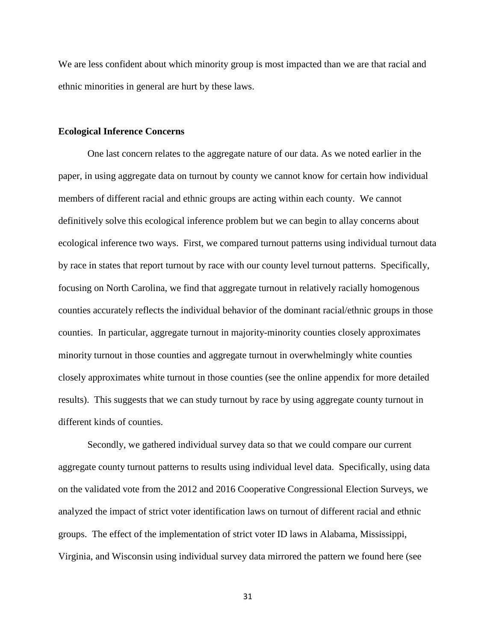We are less confident about which minority group is most impacted than we are that racial and ethnic minorities in general are hurt by these laws.

# **Ecological Inference Concerns**

One last concern relates to the aggregate nature of our data. As we noted earlier in the paper, in using aggregate data on turnout by county we cannot know for certain how individual members of different racial and ethnic groups are acting within each county. We cannot definitively solve this ecological inference problem but we can begin to allay concerns about ecological inference two ways. First, we compared turnout patterns using individual turnout data by race in states that report turnout by race with our county level turnout patterns. Specifically, focusing on North Carolina, we find that aggregate turnout in relatively racially homogenous counties accurately reflects the individual behavior of the dominant racial/ethnic groups in those counties. In particular, aggregate turnout in majority-minority counties closely approximates minority turnout in those counties and aggregate turnout in overwhelmingly white counties closely approximates white turnout in those counties (see the online appendix for more detailed results). This suggests that we can study turnout by race by using aggregate county turnout in different kinds of counties.

Secondly, we gathered individual survey data so that we could compare our current aggregate county turnout patterns to results using individual level data. Specifically, using data on the validated vote from the 2012 and 2016 Cooperative Congressional Election Surveys, we analyzed the impact of strict voter identification laws on turnout of different racial and ethnic groups. The effect of the implementation of strict voter ID laws in Alabama, Mississippi, Virginia, and Wisconsin using individual survey data mirrored the pattern we found here (see

31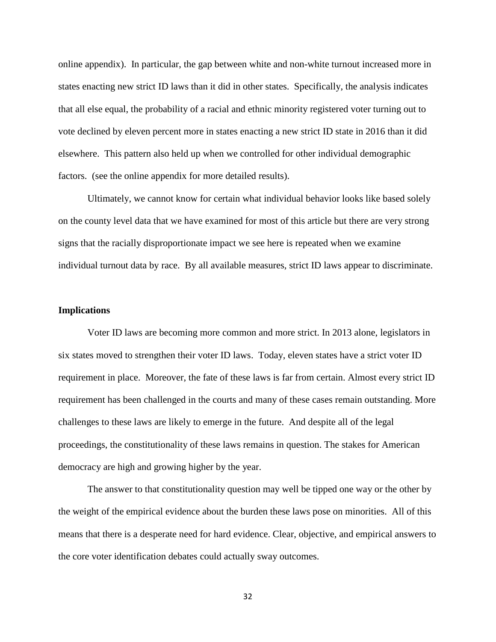online appendix). In particular, the gap between white and non-white turnout increased more in states enacting new strict ID laws than it did in other states. Specifically, the analysis indicates that all else equal, the probability of a racial and ethnic minority registered voter turning out to vote declined by eleven percent more in states enacting a new strict ID state in 2016 than it did elsewhere. This pattern also held up when we controlled for other individual demographic factors. (see the online appendix for more detailed results).

Ultimately, we cannot know for certain what individual behavior looks like based solely on the county level data that we have examined for most of this article but there are very strong signs that the racially disproportionate impact we see here is repeated when we examine individual turnout data by race. By all available measures, strict ID laws appear to discriminate.

# **Implications**

Voter ID laws are becoming more common and more strict. In 2013 alone, legislators in six states moved to strengthen their voter ID laws. Today, eleven states have a strict voter ID requirement in place. Moreover, the fate of these laws is far from certain. Almost every strict ID requirement has been challenged in the courts and many of these cases remain outstanding. More challenges to these laws are likely to emerge in the future. And despite all of the legal proceedings, the constitutionality of these laws remains in question. The stakes for American democracy are high and growing higher by the year.

The answer to that constitutionality question may well be tipped one way or the other by the weight of the empirical evidence about the burden these laws pose on minorities. All of this means that there is a desperate need for hard evidence. Clear, objective, and empirical answers to the core voter identification debates could actually sway outcomes.

32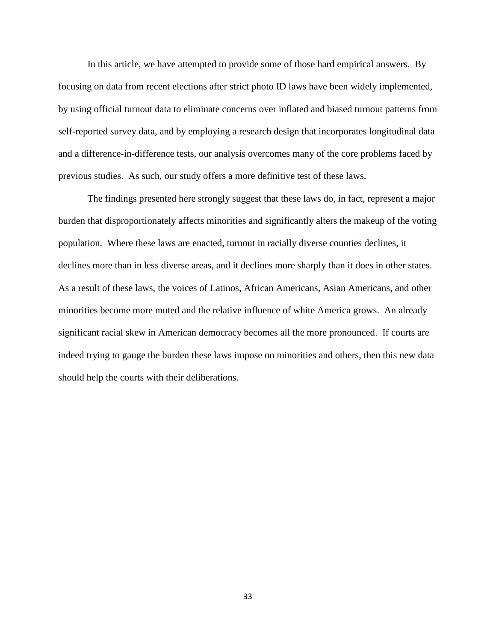In this article, we have attempted to provide some of those hard empirical answers. By focusing on data from recent elections after strict photo ID laws have been widely implemented, by using official turnout data to eliminate concerns over inflated and biased turnout patterns from self-reported survey data, and by employing a research design that incorporates longitudinal data and a difference-in-difference tests, our analysis overcomes many of the core problems faced by previous studies. As such, our study offers a more definitive test of these laws.

The findings presented here strongly suggest that these laws do, in fact, represent a major burden that disproportionately affects minorities and significantly alters the makeup of the voting population. Where these laws are enacted, turnout in racially diverse counties declines, it declines more than in less diverse areas, and it declines more sharply than it does in other states. As a result of these laws, the voices of Latinos, African Americans, Asian Americans, and other minorities become more muted and the relative influence of white America grows. An already significant racial skew in American democracy becomes all the more pronounced. If courts are indeed trying to gauge the burden these laws impose on minorities and others, then this new data should help the courts with their deliberations.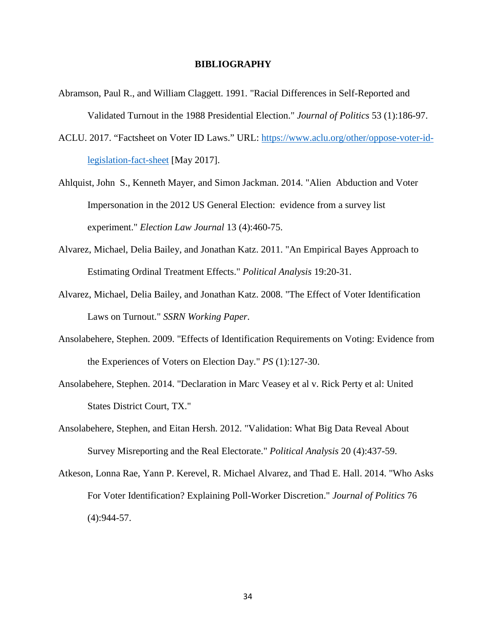### **BIBLIOGRAPHY**

- Abramson, Paul R., and William Claggett. 1991. "Racial Differences in Self-Reported and Validated Turnout in the 1988 Presidential Election." *Journal of Politics* 53 (1):186-97.
- ACLU. 2017. "Factsheet on Voter ID Laws." URL: [https://www.aclu.org/other/oppose-voter-id](https://www.aclu.org/other/oppose-voter-id-legislation-fact-sheet)[legislation-fact-sheet](https://www.aclu.org/other/oppose-voter-id-legislation-fact-sheet) [May 2017].
- Ahlquist, John S., Kenneth Mayer, and Simon Jackman. 2014. "Alien Abduction and Voter Impersonation in the 2012 US General Election: evidence from a survey list experiment." *Election Law Journal* 13 (4):460-75.
- Alvarez, Michael, Delia Bailey, and Jonathan Katz. 2011. "An Empirical Bayes Approach to Estimating Ordinal Treatment Effects." *Political Analysis* 19:20-31.
- Alvarez, Michael, Delia Bailey, and Jonathan Katz. 2008. "The Effect of Voter Identification Laws on Turnout." *SSRN Working Paper*.
- Ansolabehere, Stephen. 2009. "Effects of Identification Requirements on Voting: Evidence from the Experiences of Voters on Election Day." *PS* (1):127-30.
- Ansolabehere, Stephen. 2014. "Declaration in Marc Veasey et al v. Rick Perty et al: United States District Court, TX."
- Ansolabehere, Stephen, and Eitan Hersh. 2012. "Validation: What Big Data Reveal About Survey Misreporting and the Real Electorate." *Political Analysis* 20 (4):437-59.
- Atkeson, Lonna Rae, Yann P. Kerevel, R. Michael Alvarez, and Thad E. Hall. 2014. "Who Asks For Voter Identification? Explaining Poll-Worker Discretion." *Journal of Politics* 76 (4):944-57.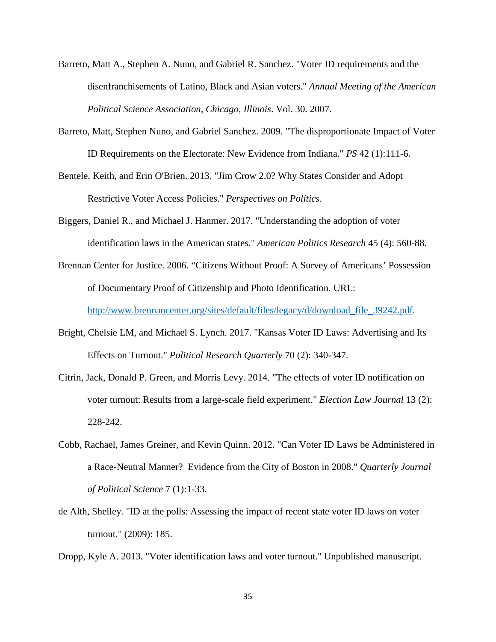- Barreto, Matt A., Stephen A. Nuno, and Gabriel R. Sanchez. "Voter ID requirements and the disenfranchisements of Latino, Black and Asian voters." *Annual Meeting of the American Political Science Association, Chicago, Illinois*. Vol. 30. 2007.
- Barreto, Matt, Stephen Nuno, and Gabriel Sanchez. 2009. "The disproportionate Impact of Voter ID Requirements on the Electorate: New Evidence from Indiana." *PS* 42 (1):111-6.
- Bentele, Keith, and Erin O'Brien. 2013. "Jim Crow 2.0? Why States Consider and Adopt Restrictive Voter Access Policies." *Perspectives on Politics*.
- Biggers, Daniel R., and Michael J. Hanmer. 2017. "Understanding the adoption of voter identification laws in the American states." *American Politics Research* 45 (4): 560-88.
- Brennan Center for Justice. 2006. "Citizens Without Proof: A Survey of Americans' Possession of Documentary Proof of Citizenship and Photo Identification. URL:

[http://www.brennancenter.org/sites/default/files/legacy/d/download\\_file\\_39242.pdf.](http://www.brennancenter.org/sites/default/files/legacy/d/download_file_39242.pdf)

- Bright, Chelsie LM, and Michael S. Lynch. 2017. "Kansas Voter ID Laws: Advertising and Its Effects on Turnout." *Political Research Quarterly* 70 (2): 340-347.
- Citrin, Jack, Donald P. Green, and Morris Levy. 2014. "The effects of voter ID notification on voter turnout: Results from a large-scale field experiment." *Election Law Journal* 13 (2): 228-242.
- Cobb, Rachael, James Greiner, and Kevin Quinn. 2012. "Can Voter ID Laws be Administered in a Race-Neutral Manner? Evidence from the City of Boston in 2008." *Quarterly Journal of Political Science* 7 (1):1-33.
- de Alth, Shelley. "ID at the polls: Assessing the impact of recent state voter ID laws on voter turnout." (2009): 185.

Dropp, Kyle A. 2013. "Voter identification laws and voter turnout." Unpublished manuscript.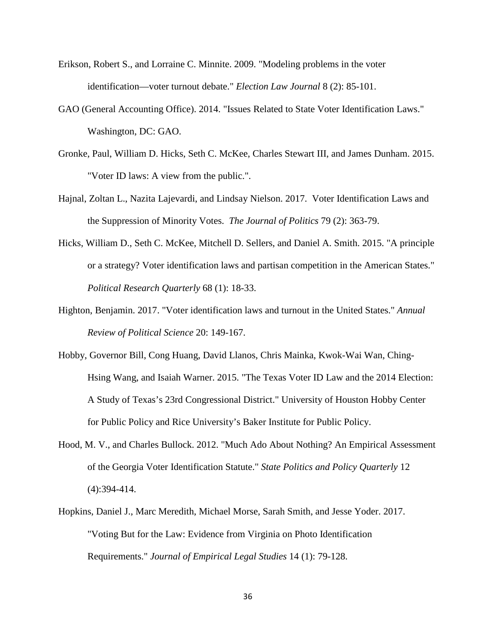- Erikson, Robert S., and Lorraine C. Minnite. 2009. "Modeling problems in the voter identification—voter turnout debate." *Election Law Journal* 8 (2): 85-101.
- GAO (General Accounting Office). 2014. "Issues Related to State Voter Identification Laws." Washington, DC: GAO.
- Gronke, Paul, William D. Hicks, Seth C. McKee, Charles Stewart III, and James Dunham. 2015. "Voter ID laws: A view from the public.".
- Hajnal, Zoltan L., Nazita Lajevardi, and Lindsay Nielson. 2017. Voter Identification Laws and the Suppression of Minority Votes. *The Journal of Politics* 79 (2): 363-79.
- Hicks, William D., Seth C. McKee, Mitchell D. Sellers, and Daniel A. Smith. 2015. "A principle or a strategy? Voter identification laws and partisan competition in the American States." *Political Research Quarterly* 68 (1): 18-33.
- Highton, Benjamin. 2017. "Voter identification laws and turnout in the United States." *Annual Review of Political Science* 20: 149-167.
- Hobby, Governor Bill, Cong Huang, David Llanos, Chris Mainka, Kwok-Wai Wan, Ching-Hsing Wang, and Isaiah Warner. 2015. "The Texas Voter ID Law and the 2014 Election: A Study of Texas's 23rd Congressional District." University of Houston Hobby Center for Public Policy and Rice University's Baker Institute for Public Policy.
- Hood, M. V., and Charles Bullock. 2012. "Much Ado About Nothing? An Empirical Assessment of the Georgia Voter Identification Statute." *State Politics and Policy Quarterly* 12 (4):394-414.
- Hopkins, Daniel J., Marc Meredith, Michael Morse, Sarah Smith, and Jesse Yoder. 2017. "Voting But for the Law: Evidence from Virginia on Photo Identification Requirements." *Journal of Empirical Legal Studies* 14 (1): 79-128.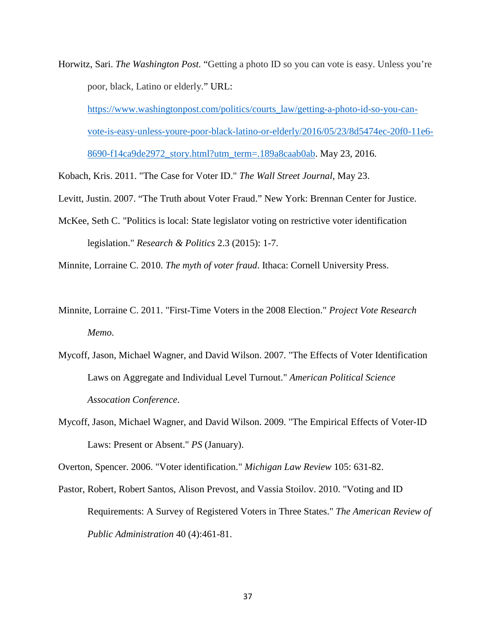Horwitz, Sari. *The Washington Post.* "Getting a photo ID so you can vote is easy. Unless you're poor, black, Latino or elderly." URL:

[https://www.washingtonpost.com/politics/courts\\_law/getting-a-photo-id-so-you-can](https://www.washingtonpost.com/politics/courts_law/getting-a-photo-id-so-you-can-vote-is-easy-unless-youre-poor-black-latino-or-elderly/2016/05/23/8d5474ec-20f0-11e6-8690-f14ca9de2972_story.html?utm_term=.189a8caab0ab)[vote-is-easy-unless-youre-poor-black-latino-or-elderly/2016/05/23/8d5474ec-20f0-11e6-](https://www.washingtonpost.com/politics/courts_law/getting-a-photo-id-so-you-can-vote-is-easy-unless-youre-poor-black-latino-or-elderly/2016/05/23/8d5474ec-20f0-11e6-8690-f14ca9de2972_story.html?utm_term=.189a8caab0ab) [8690-f14ca9de2972\\_story.html?utm\\_term=.189a8caab0ab.](https://www.washingtonpost.com/politics/courts_law/getting-a-photo-id-so-you-can-vote-is-easy-unless-youre-poor-black-latino-or-elderly/2016/05/23/8d5474ec-20f0-11e6-8690-f14ca9de2972_story.html?utm_term=.189a8caab0ab) May 23, 2016.

Kobach, Kris. 2011. "The Case for Voter ID." *The Wall Street Journal*, May 23.

- Levitt, Justin. 2007. "The Truth about Voter Fraud." New York: Brennan Center for Justice.
- McKee, Seth C. "Politics is local: State legislator voting on restrictive voter identification legislation." *Research & Politics* 2.3 (2015): 1-7.

Minnite, Lorraine C. 2010. *The myth of voter fraud*. Ithaca: Cornell University Press.

- Minnite, Lorraine C. 2011. "First-Time Voters in the 2008 Election." *Project Vote Research Memo*.
- Mycoff, Jason, Michael Wagner, and David Wilson. 2007. "The Effects of Voter Identification Laws on Aggregate and Individual Level Turnout." *American Political Science Assocation Conference*.
- Mycoff, Jason, Michael Wagner, and David Wilson. 2009. "The Empirical Effects of Voter-ID Laws: Present or Absent." *PS* (January).

Overton, Spencer. 2006. "Voter identification." *Michigan Law Review* 105: 631-82.

Pastor, Robert, Robert Santos, Alison Prevost, and Vassia Stoilov. 2010. "Voting and ID Requirements: A Survey of Registered Voters in Three States." *The American Review of Public Administration* 40 (4):461-81.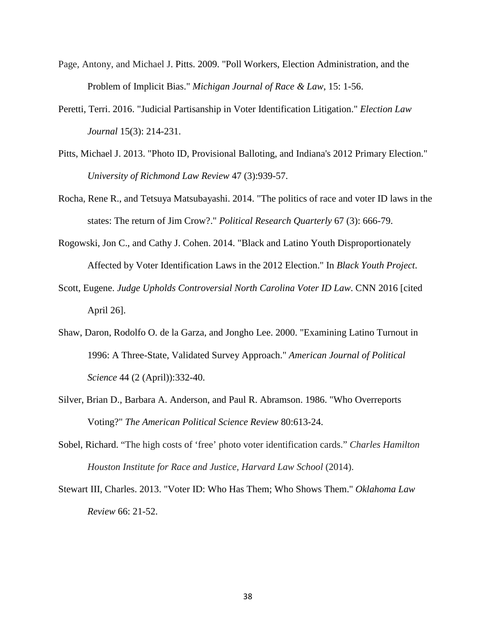- Page, Antony, and Michael J. Pitts. 2009. "Poll Workers, Election Administration, and the Problem of Implicit Bias." *[Michigan Journal of Race & Law](https://papers.ssrn.com/sol3/papers.cfm?abstract_id=1392630##)*, 15: 1-56.
- Peretti, Terri. 2016. "Judicial Partisanship in Voter Identification Litigation." *Election Law Journal* 15(3): 214-231.
- Pitts, Michael J. 2013. "Photo ID, Provisional Balloting, and Indiana's 2012 Primary Election." *University of Richmond Law Review* 47 (3):939-57.
- Rocha, Rene R., and Tetsuya Matsubayashi. 2014. "The politics of race and voter ID laws in the states: The return of Jim Crow?." *Political Research Quarterly* 67 (3): 666-79.
- Rogowski, Jon C., and Cathy J. Cohen. 2014. "Black and Latino Youth Disproportionately Affected by Voter Identification Laws in the 2012 Election." In *Black Youth Project*.
- Scott, Eugene. *Judge Upholds Controversial North Carolina Voter ID Law*. CNN 2016 [cited April 26].
- Shaw, Daron, Rodolfo O. de la Garza, and Jongho Lee. 2000. "Examining Latino Turnout in 1996: A Three-State, Validated Survey Approach." *American Journal of Political Science* 44 (2 (April)):332-40.
- Silver, Brian D., Barbara A. Anderson, and Paul R. Abramson. 1986. "Who Overreports Voting?" *The American Political Science Review* 80:613-24.
- Sobel, Richard. "The high costs of 'free' photo voter identification cards." *Charles Hamilton Houston Institute for Race and Justice, Harvard Law School* (2014).
- Stewart III, Charles. 2013. "Voter ID: Who Has Them; Who Shows Them." *Oklahoma Law Review* 66: 21-52.